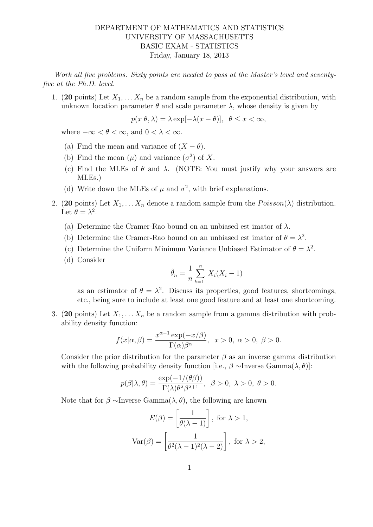## DEPARTMENT OF MATHEMATICS AND STATISTICS UNIVERSITY OF MASSACHUSETTS BASIC EXAM - STATISTICS Friday, January 18, 2013

Work all five problems. Sixty points are needed to pass at the Master's level and seventyfive at the Ph.D. level.

1. (20 points) Let  $X_1, \ldots, X_n$  be a random sample from the exponential distribution, with unknown location parameter  $\theta$  and scale parameter  $\lambda$ , whose density is given by

 $p(x|\theta, \lambda) = \lambda \exp[-\lambda(x-\theta)], \theta \leq x < \infty,$ 

where  $-\infty < \theta < \infty$ , and  $0 < \lambda < \infty$ .

- (a) Find the mean and variance of  $(X \theta)$ .
- (b) Find the mean  $(\mu)$  and variance  $(\sigma^2)$  of X.
- (c) Find the MLEs of  $\theta$  and  $\lambda$ . (NOTE: You must justify why your answers are MLEs.)
- (d) Write down the MLEs of  $\mu$  and  $\sigma^2$ , with brief explanations.
- 2. (20 points) Let  $X_1, \ldots, X_n$  denote a random sample from the  $Poisson(\lambda)$  distribution. Let  $\theta = \lambda^2$ .
	- (a) Determine the Cramer-Rao bound on an unbiased est imator of  $\lambda$ .
	- (b) Determine the Cramer-Rao bound on an unbiased est imator of  $\theta = \lambda^2$ .
	- (c) Determine the Uniform Minimum Variance Unbiased Estimator of  $\theta = \lambda^2$ .
	- (d) Consider

$$
\tilde{\theta}_n = \frac{1}{n} \sum_{k=1}^n X_i (X_i - 1)
$$

as an estimator of  $\theta = \lambda^2$ . Discuss its properties, good features, shortcomings, etc., being sure to include at least one good feature and at least one shortcoming.

3. (20 points) Let  $X_1, \ldots, X_n$  be a random sample from a gamma distribution with probability density function:

$$
f(x|\alpha, \beta) = \frac{x^{\alpha - 1} \exp(-x/\beta)}{\Gamma(\alpha)\beta^{\alpha}}, \quad x > 0, \quad \alpha > 0, \quad \beta > 0.
$$

Consider the prior distribution for the parameter  $\beta$  as an inverse gamma distribution with the following probability density function [i.e.,  $\beta \sim \text{Inverse Gamma}(\lambda, \theta)$ ]:

$$
p(\beta|\lambda,\theta) = \frac{\exp(-1/(\theta\beta))}{\Gamma(\lambda)\theta^{\lambda}\beta^{\lambda+1}}, \ \ \beta > 0, \ \lambda > 0, \ \theta > 0.
$$

Note that for  $\beta \sim \text{Inverse Gamma}(\lambda, \theta)$ , the following are known

$$
E(\beta) = \left[\frac{1}{\theta(\lambda - 1)}\right], \text{ for } \lambda > 1,
$$

$$
\text{Var}(\beta) = \left[\frac{1}{\theta^2(\lambda - 1)^2(\lambda - 2)}\right], \text{ for } \lambda > 2,
$$